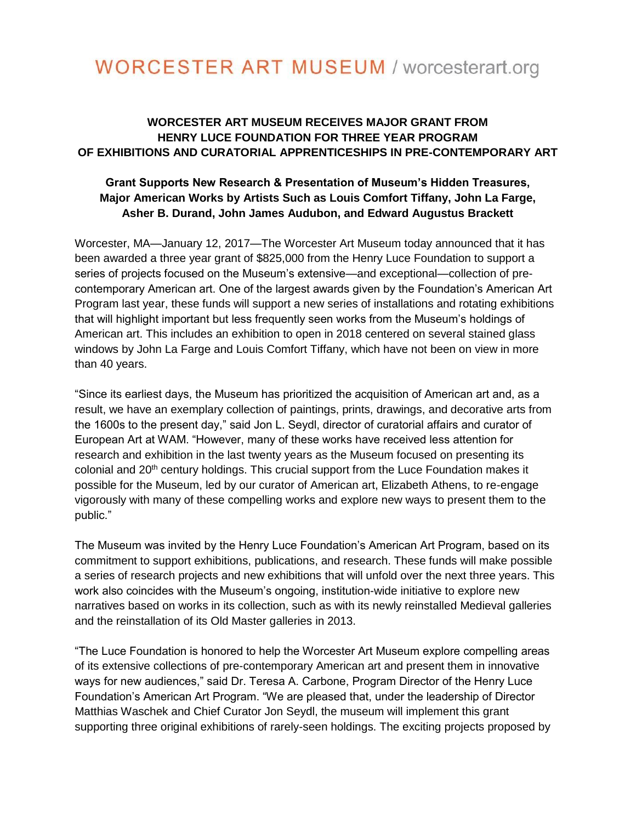# **WORCESTER ART MUSEUM / worcesterart.org**

# **WORCESTER ART MUSEUM RECEIVES MAJOR GRANT FROM HENRY LUCE FOUNDATION FOR THREE YEAR PROGRAM OF EXHIBITIONS AND CURATORIAL APPRENTICESHIPS IN PRE-CONTEMPORARY ART**

## **Grant Supports New Research & Presentation of Museum's Hidden Treasures, Major American Works by Artists Such as Louis Comfort Tiffany, John La Farge, Asher B. Durand, John James Audubon, and Edward Augustus Brackett**

Worcester, MA—January 12, 2017—The Worcester Art Museum today announced that it has been awarded a three year grant of \$825,000 from the Henry Luce Foundation to support a series of projects focused on the Museum's extensive—and exceptional—collection of precontemporary American art. One of the largest awards given by the Foundation's American Art Program last year, these funds will support a new series of installations and rotating exhibitions that will highlight important but less frequently seen works from the Museum's holdings of American art. This includes an exhibition to open in 2018 centered on several stained glass windows by John La Farge and Louis Comfort Tiffany, which have not been on view in more than 40 years.

"Since its earliest days, the Museum has prioritized the acquisition of American art and, as a result, we have an exemplary collection of paintings, prints, drawings, and decorative arts from the 1600s to the present day," said Jon L. Seydl, director of curatorial affairs and curator of European Art at WAM. "However, many of these works have received less attention for research and exhibition in the last twenty years as the Museum focused on presenting its colonial and 20<sup>th</sup> century holdings. This crucial support from the Luce Foundation makes it possible for the Museum, led by our curator of American art, Elizabeth Athens, to re-engage vigorously with many of these compelling works and explore new ways to present them to the public."

The Museum was invited by the Henry Luce Foundation's American Art Program, based on its commitment to support exhibitions, publications, and research. These funds will make possible a series of research projects and new exhibitions that will unfold over the next three years. This work also coincides with the Museum's ongoing, institution-wide initiative to explore new narratives based on works in its collection, such as with its newly reinstalled Medieval galleries and the reinstallation of its Old Master galleries in 2013.

"The Luce Foundation is honored to help the Worcester Art Museum explore compelling areas of its extensive collections of pre-contemporary American art and present them in innovative ways for new audiences," said Dr. Teresa A. Carbone, Program Director of the Henry Luce Foundation's American Art Program. "We are pleased that, under the leadership of Director Matthias Waschek and Chief Curator Jon Seydl, the museum will implement this grant supporting three original exhibitions of rarely-seen holdings. The exciting projects proposed by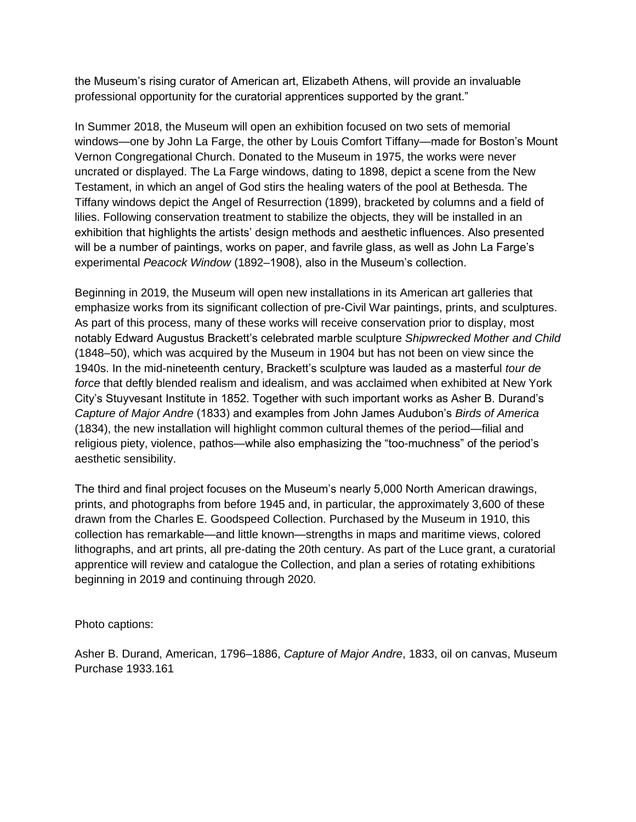the Museum's rising curator of American art, Elizabeth Athens, will provide an invaluable professional opportunity for the curatorial apprentices supported by the grant."

In Summer 2018, the Museum will open an exhibition focused on two sets of memorial windows—one by John La Farge, the other by Louis Comfort Tiffany—made for Boston's Mount Vernon Congregational Church. Donated to the Museum in 1975, the works were never uncrated or displayed. The La Farge windows, dating to 1898, depict a scene from the New Testament, in which an angel of God stirs the healing waters of the pool at Bethesda. The Tiffany windows depict the Angel of Resurrection (1899), bracketed by columns and a field of lilies. Following conservation treatment to stabilize the objects, they will be installed in an exhibition that highlights the artists' design methods and aesthetic influences. Also presented will be a number of paintings, works on paper, and favrile glass, as well as John La Farge's experimental *Peacock Window* (1892–1908), also in the Museum's collection.

Beginning in 2019, the Museum will open new installations in its American art galleries that emphasize works from its significant collection of pre-Civil War paintings, prints, and sculptures. As part of this process, many of these works will receive conservation prior to display, most notably Edward Augustus Brackett's celebrated marble sculpture *Shipwrecked Mother and Child*  (1848–50), which was acquired by the Museum in 1904 but has not been on view since the 1940s. In the mid-nineteenth century, Brackett's sculpture was lauded as a masterful *tour de force* that deftly blended realism and idealism, and was acclaimed when exhibited at New York City's Stuyvesant Institute in 1852. Together with such important works as Asher B. Durand's *Capture of Major Andre* (1833) and examples from John James Audubon's *Birds of America*  (1834), the new installation will highlight common cultural themes of the period—filial and religious piety, violence, pathos—while also emphasizing the "too-muchness" of the period's aesthetic sensibility.

The third and final project focuses on the Museum's nearly 5,000 North American drawings, prints, and photographs from before 1945 and, in particular, the approximately 3,600 of these drawn from the Charles E. Goodspeed Collection. Purchased by the Museum in 1910, this collection has remarkable—and little known—strengths in maps and maritime views, colored lithographs, and art prints, all pre-dating the 20th century. As part of the Luce grant, a curatorial apprentice will review and catalogue the Collection, and plan a series of rotating exhibitions beginning in 2019 and continuing through 2020.

Photo captions:

Asher B. Durand, American, 1796–1886, *Capture of Major Andre*, 1833, oil on canvas, Museum Purchase 1933.161